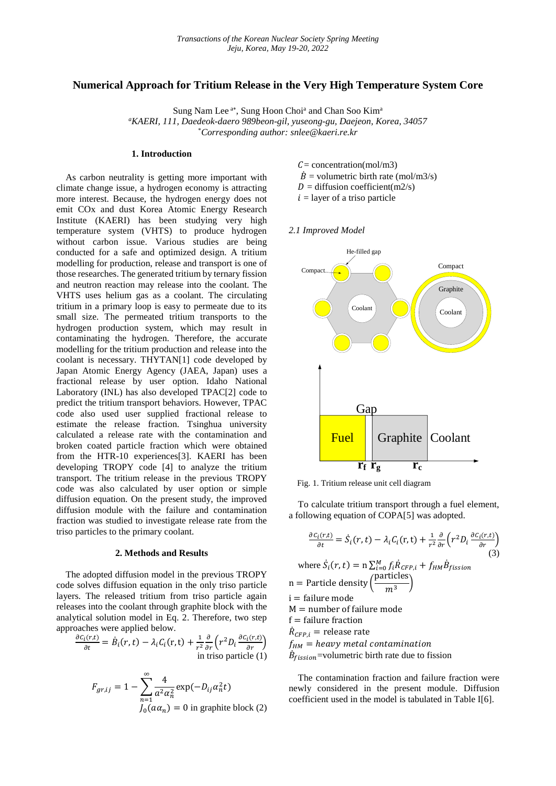## **Numerical Approach for Tritium Release in the Very High Temperature System Core**

Sung Nam Lee<sup>a\*</sup>, Sung Hoon Choi<sup>a</sup> and Chan Soo Kim<sup>a</sup> *<sup>a</sup>KAERI, 111, Daedeok-daero 989beon-gil, yuseong-gu, Daejeon, Korea, 34057* \**Corresponding author: snlee@kaeri.re.kr*

#### **1. Introduction**

As carbon neutrality is getting more important with climate change issue, a hydrogen economy is attracting more interest. Because, the hydrogen energy does not emit COx and dust Korea Atomic Energy Research Institute (KAERI) has been studying very high temperature system (VHTS) to produce hydrogen without carbon issue. Various studies are being conducted for a safe and optimized design. A tritium modelling for production, release and transport is one of those researches. The generated tritium by ternary fission and neutron reaction may release into the coolant. The VHTS uses helium gas as a coolant. The circulating tritium in a primary loop is easy to permeate due to its small size. The permeated tritium transports to the hydrogen production system, which may result in contaminating the hydrogen. Therefore, the accurate modelling for the tritium production and release into the coolant is necessary. THYTAN[1] code developed by Japan Atomic Energy Agency (JAEA, Japan) uses a fractional release by user option. Idaho National Laboratory (INL) has also developed TPAC[2] code to predict the tritium transport behaviors. However, TPAC code also used user supplied fractional release to estimate the release fraction. Tsinghua university calculated a release rate with the contamination and broken coated particle fraction which were obtained from the HTR-10 experiences[3]. KAERI has been developing TROPY code [4] to analyze the tritium transport. The tritium release in the previous TROPY code was also calculated by user option or simple diffusion equation. On the present study, the improved diffusion module with the failure and contamination fraction was studied to investigate release rate from the triso particles to the primary coolant.

#### **2. Methods and Results**

The adopted diffusion model in the previous TROPY code solves diffusion equation in the only triso particle layers. The released tritium from triso particle again releases into the coolant through graphite block with the analytical solution model in Eq. 2. Therefore, two step approaches were applied below.

$$
\frac{\partial c_i(r,t)}{\partial t} = \dot{B}_i(r,t) - \lambda_i C_i(r,t) + \frac{1}{r^2} \frac{\partial}{\partial r} \left( r^2 D_i \frac{\partial c_i(r,t)}{\partial r} \right)
$$
  
in triso particle (1)

$$
F_{gr,ij} = 1 - \sum_{n=1}^{\infty} \frac{4}{a^2 \alpha_n^2} \exp(-D_{ij} \alpha_n^2 t)
$$
  

$$
J_0(a\alpha_n) = 0
$$
 in graphite block (2)

- $C =$  concentration(mol/m3)
- $\dot{B}$  = volumetric birth rate (mol/m3/s)
- $D =$  diffusion coefficient(m2/s)
- $i =$  layer of a triso particle
- *2.1 Improved Model*



Fig. 1. Tritium release unit cell diagram

To calculate tritium transport through a fuel element, a following equation of COPA[5] was adopted.

$$
\frac{\partial c_i(r,t)}{\partial t} = \dot{S}_i(r,t) - \lambda_i C_i(r,t) + \frac{1}{r^2} \frac{\partial}{\partial r} \left(r^2 D_i \frac{\partial c_i(r,t)}{\partial r}\right)
$$
\nwhere  $\dot{S}_i(r,t) = n \sum_{i=0}^{M} f_i \dot{R}_{CFP,i} + f_{HM} \dot{B}_{fission}$ \n  
\nn = Particle density  $\left(\frac{\text{particles}}{m^3}\right)$ \n  
\ni = failure mode\n  
\nM = number of failure mode\n  
\nf = failure fraction\n  
\n $\dot{R}_{CFP,i}$  = release rate\n  
\n $f_{HM}$  = heavy metal contamination\n  
\n $\dot{B}_{fission}$ = volumetric birth rate due to fission

The contamination fraction and failure fraction were newly considered in the present module. Diffusion coefficient used in the model is tabulated in Table I[6].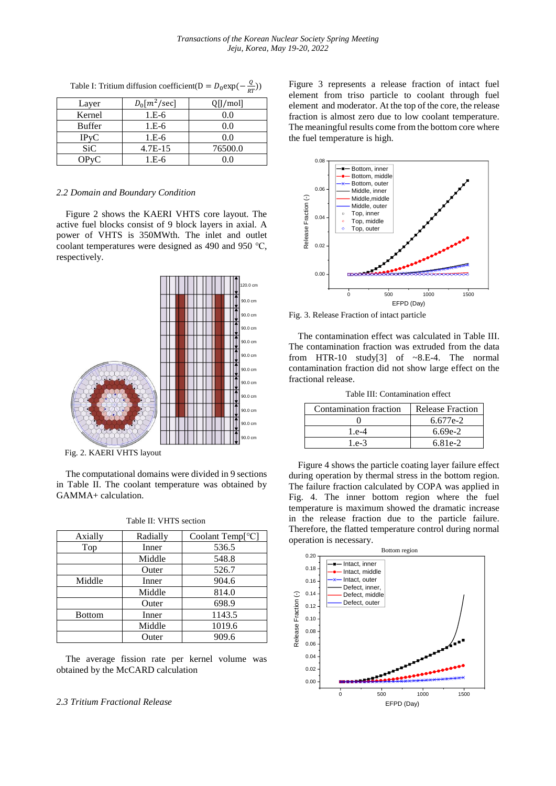| Layer         | $D_0[m^2/\text{sec}]$ | Q[J/mol] |
|---------------|-----------------------|----------|
| Kernel        | $1.E-6$               | 0.0      |
| <b>Buffer</b> | $1.E-6$               | 0.0      |
| IPVC          | $1.E-6$               | 0.0      |
| SiC           | $4.7E-15$             | 76500.0  |
|               | 1.E-6                 | 0.0      |

Table I: Tritium diffusion coefficient(D =  $D_0 \exp(-\frac{Q}{RT})$  $\frac{Q}{RT}$ )

### *2.2 Domain and Boundary Condition*

Figure 2 shows the KAERI VHTS core layout. The active fuel blocks consist of 9 block layers in axial. A power of VHTS is 350MWth. The inlet and outlet coolant temperatures were designed as 490 and 950 ℃, respectively.



Fig. 2. KAERI VHTS layout

The computational domains were divided in 9 sections in Table II. The coolant temperature was obtained by GAMMA+ calculation.

| Axially       | Radially | Coolant Temp[°C] |
|---------------|----------|------------------|
| Top           | Inner    | 536.5            |
|               | Middle   | 548.8            |
|               | Outer    | 526.7            |
| Middle        | Inner    | 904.6            |
|               | Middle   | 814.0            |
|               | Outer    | 698.9            |
| <b>Bottom</b> | Inner    | 1143.5           |
|               | Middle   | 1019.6           |
|               | Outer    | 909.6            |

Table II: VHTS section

The average fission rate per kernel volume was obtained by the McCARD calculation

# *2.3 Tritium Fractional Release*

Figure 3 represents a release fraction of intact fuel element from triso particle to coolant through fuel element and moderator. At the top of the core, the release fraction is almost zero due to low coolant temperature. The meaningful results come from the bottom core where the fuel temperature is high.



Fig. 3. Release Fraction of intact particle

The contamination effect was calculated in Table III. The contamination fraction was extruded from the data from HTR-10 study[3] of ~8.E-4. The normal contamination fraction did not show large effect on the fractional release.

Table III: Contamination effect

| Contamination fraction | <b>Release Fraction</b> |
|------------------------|-------------------------|
|                        | 6.677e-2                |
| 1.e-4                  | $6.69e-2$               |
| 1.e-3                  | $6.81e-2$               |

Figure 4 shows the particle coating layer failure effect during operation by thermal stress in the bottom region. The failure fraction calculated by COPA was applied in Fig. 4. The inner bottom region where the fuel temperature is maximum showed the dramatic increase in the release fraction due to the particle failure. Therefore, the flatted temperature control during normal operation is necessary.